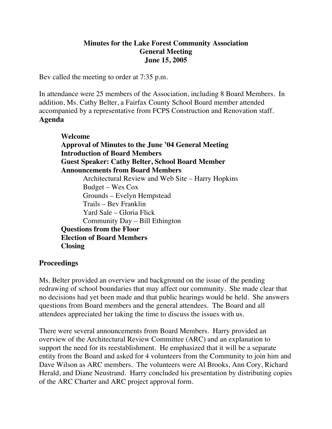## **Minutes for the Lake Forest Community Association General Meeting June 15, 2005**

Bev called the meeting to order at 7:35 p.m.

In attendance were 25 members of the Association, including 8 Board Members. In addition, Ms. Cathy Belter, a Fairfax County School Board member attended accompanied by a representative from FCPS Construction and Renovation staff. **Agenda**

 **Welcome Approval of Minutes to the June '04 General Meeting Introduction of Board Members Guest Speaker: Cathy Belter, School Board Member Announcements from Board Members** Architectural Review and Web Site – Harry Hopkins Budget – Wes Cox Grounds – Evelyn Hempstead Trails – Bev Franklin Yard Sale – Gloria Flick Community Day – Bill Ethington **Questions from the Floor Election of Board Members Closing**

## **Proceedings**

Ms. Belter provided an overview and background on the issue of the pending redrawing of school boundaries that may affect our community. She made clear that no decisions had yet been made and that public hearings would be held. She answers questions from Board members and the general attendees. The Board and all attendees appreciated her taking the time to discuss the issues with us.

There were several announcements from Board Members. Harry provided an overview of the Architectural Review Committee (ARC) and an explanation to support the need for its reestablishment. He emphasized that it will be a separate entity from the Board and asked for 4 volunteers from the Community to join him and Dave Wilson as ARC members. The volunteers were Al Brooks, Ann Cory, Richard Herald, and Diane Neustrand. Harry concluded his presentation by distributing copies of the ARC Charter and ARC project approval form.